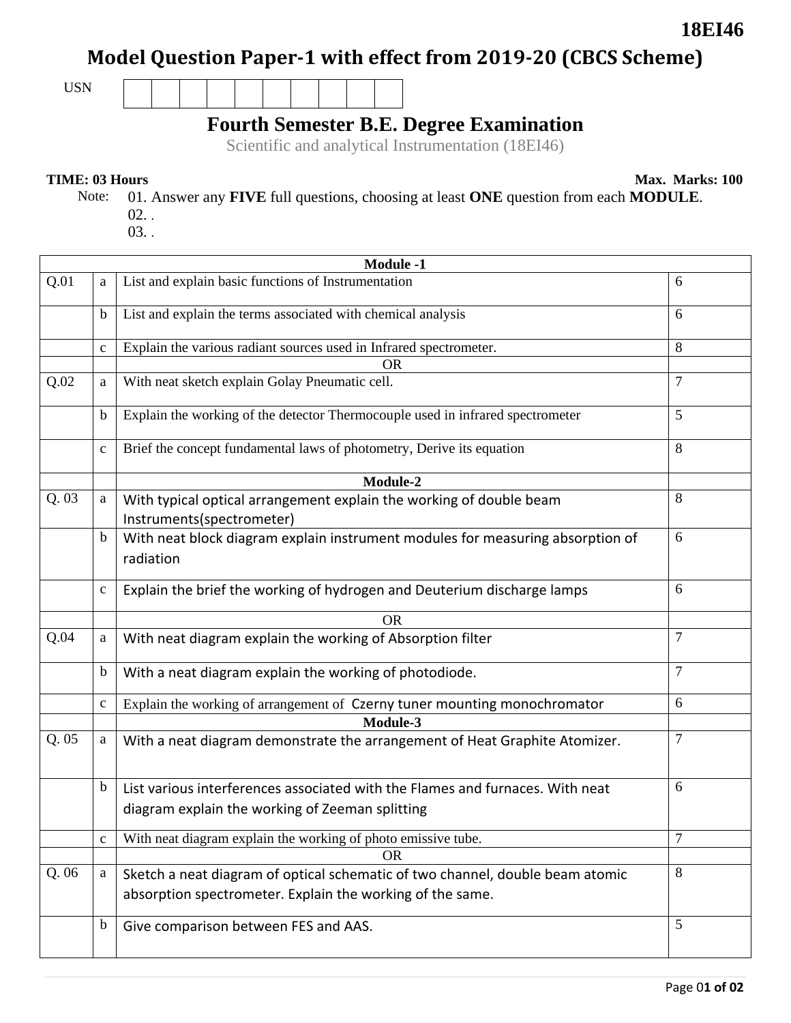# **Model Question Paper-1 with effect from 2019-20 (CBCS Scheme)**

USN

## **Fourth Semester B.E. Degree Examination**

Scientific and analytical Instrumentation (18EI46)

#### **TIME: 03 Hours** Max. Marks: 100

**18EI46**

- Note: 01. Answer any **FIVE** full questions, choosing at least **ONE** question from each **MODULE**. 02. .
	- 03. .

| <b>Module -1</b> |              |                                                                                                                                            |                |  |
|------------------|--------------|--------------------------------------------------------------------------------------------------------------------------------------------|----------------|--|
| Q.01             | a            | List and explain basic functions of Instrumentation                                                                                        | 6              |  |
|                  | $\mathbf b$  | List and explain the terms associated with chemical analysis                                                                               | 6              |  |
|                  | $\mathbf c$  | Explain the various radiant sources used in Infrared spectrometer.                                                                         | 8              |  |
|                  |              | <b>OR</b>                                                                                                                                  |                |  |
| Q.02             | a            | With neat sketch explain Golay Pneumatic cell.                                                                                             | $\overline{7}$ |  |
|                  | $\mathbf b$  | Explain the working of the detector Thermocouple used in infrared spectrometer                                                             | 5              |  |
|                  | $\mathbf c$  | Brief the concept fundamental laws of photometry, Derive its equation                                                                      | 8              |  |
|                  |              | Module-2                                                                                                                                   |                |  |
| Q.03             | a            | With typical optical arrangement explain the working of double beam<br>Instruments(spectrometer)                                           | 8              |  |
|                  | b            | With neat block diagram explain instrument modules for measuring absorption of<br>radiation                                                | 6              |  |
|                  | $\mathbf c$  | Explain the brief the working of hydrogen and Deuterium discharge lamps                                                                    | 6              |  |
|                  |              | <b>OR</b>                                                                                                                                  |                |  |
| Q.04             | a            | With neat diagram explain the working of Absorption filter                                                                                 | 7              |  |
|                  | $\mathbf b$  | With a neat diagram explain the working of photodiode.                                                                                     | $\overline{7}$ |  |
|                  | $\mathbf{C}$ | Explain the working of arrangement of Czerny tuner mounting monochromator                                                                  | 6              |  |
|                  |              | Module-3                                                                                                                                   |                |  |
| Q.05             | a            | With a neat diagram demonstrate the arrangement of Heat Graphite Atomizer.                                                                 | 7              |  |
|                  | $\mathbf b$  | List various interferences associated with the Flames and furnaces. With neat<br>diagram explain the working of Zeeman splitting           | 6              |  |
|                  | $\mathbf{C}$ | With neat diagram explain the working of photo emissive tube.                                                                              |                |  |
|                  |              | <b>OR</b>                                                                                                                                  |                |  |
| Q.06             | $\rm{a}$     | Sketch a neat diagram of optical schematic of two channel, double beam atomic<br>absorption spectrometer. Explain the working of the same. | 8              |  |
|                  | b            | Give comparison between FES and AAS.                                                                                                       | 5              |  |